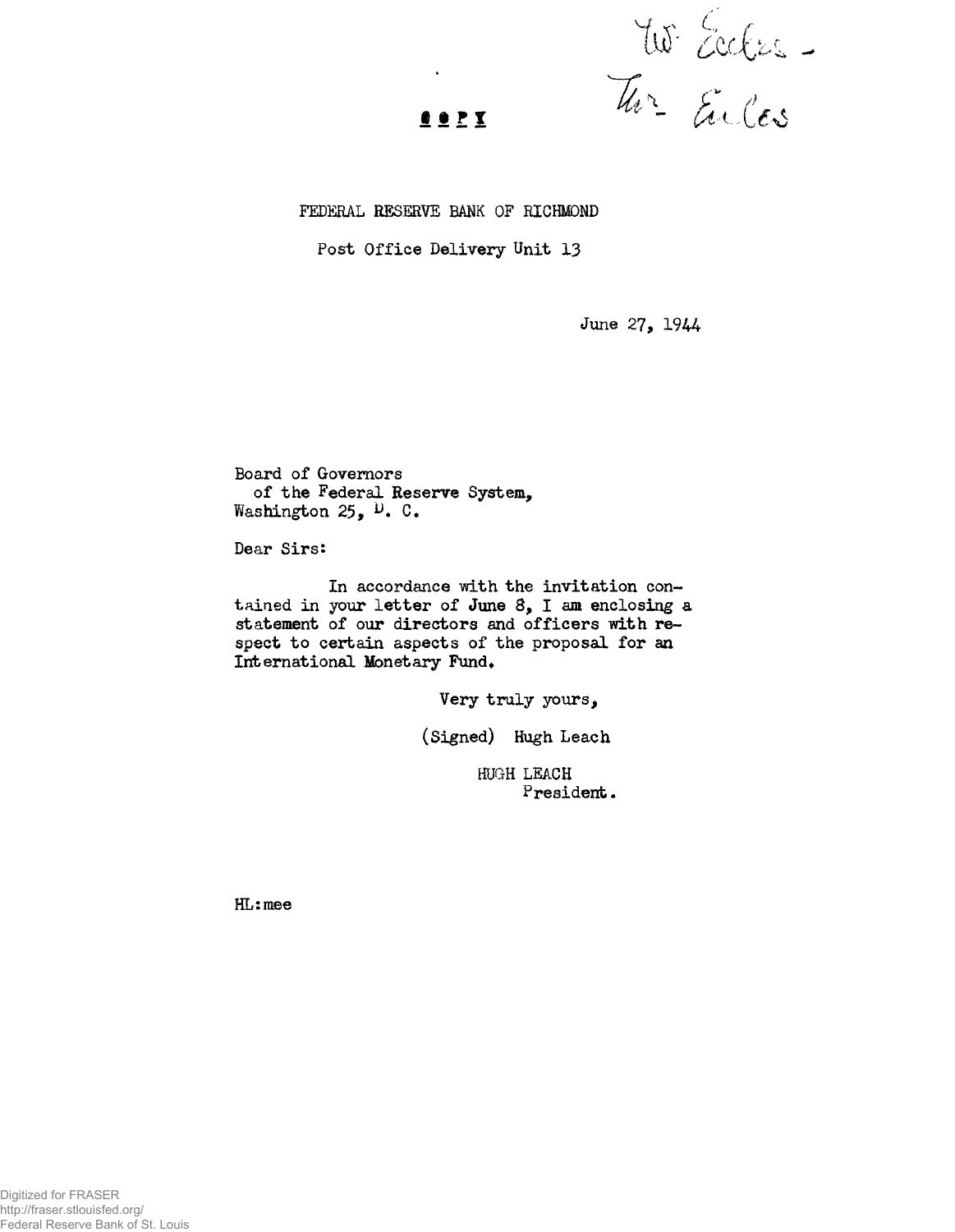US Eccles.

## $o Y X$ </u>

## FEDERAL RESERVE BANK OF RICHMOND

## Post Office Delivery Unit 13

June 27, 1944

Board of Governors of the Federal Reserve System, Washington 25, <sup>D</sup>. C.

Dear Sirs:

In accordance with the invitation contained in your letter of June 8, I am enclosing a statement of our directors and officers with respect to certain aspects of the proposal for an International Monetary Fund.

Very truly yours,

(Signed) Hugh Leach

HUGH LEACH President.

HL:mee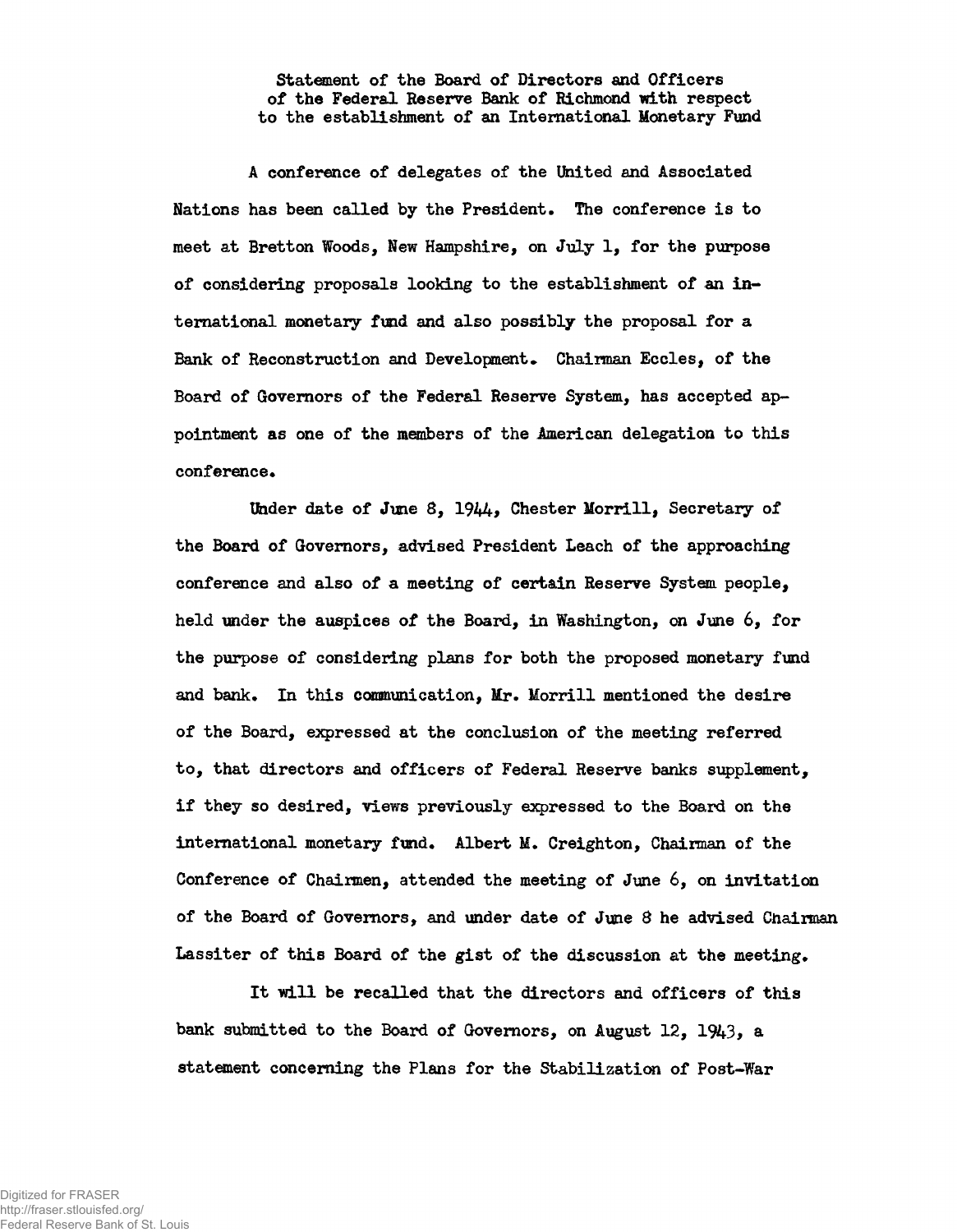Statement of the Board of Directors and Officers of the Federal Reserve Bank of Richmond with respect to the establishment of an International Monetary Fund

A conference of delegates of the United and Associated Nations has been called by the President. The conference is to meet at Bretton Woods, New Hampshire, on July 1, for the purpose of considering proposals looking to the establishment of an international monetary fund and also possibly the proposal for a Bank of Reconstruction and Development. Chairman Eccles, of the Board of Governors of the Federal Reserve System, has accepted appointment as one of the members of the American delegation to this conference.

Under date of June 8, 1944, Chester Morrill, Secretary of the Board of Governors, advised President Leach of the approaching conference and also of a meeting of certain Reserve System people, held under the auspices of the Board, in Washington, on June 6, for the purpose of considering plans for both the proposed monetary fund and bank. In this communication, Mr. Morrill mentioned the desire of the Board, expressed at the conclusion of the meeting referred to, that directors and officers of Federal Reserve banks supplement, if they so desired, views previously expressed to the Board on the international monetary fund. Albert M. Creighton, Chairman of the Conference of Chairmen, attended the meeting of June 6, on invitation of the Board of Governors, and under date of June 8 he advised Cnaiman Lassiter of this Board of the gist of the discussion at the meeting.

It will be recalled that the directors and officers of this bank submitted to the Board of Governors, on August 12, 1943, a statement concerning the Plans for the Stabilization of Post-War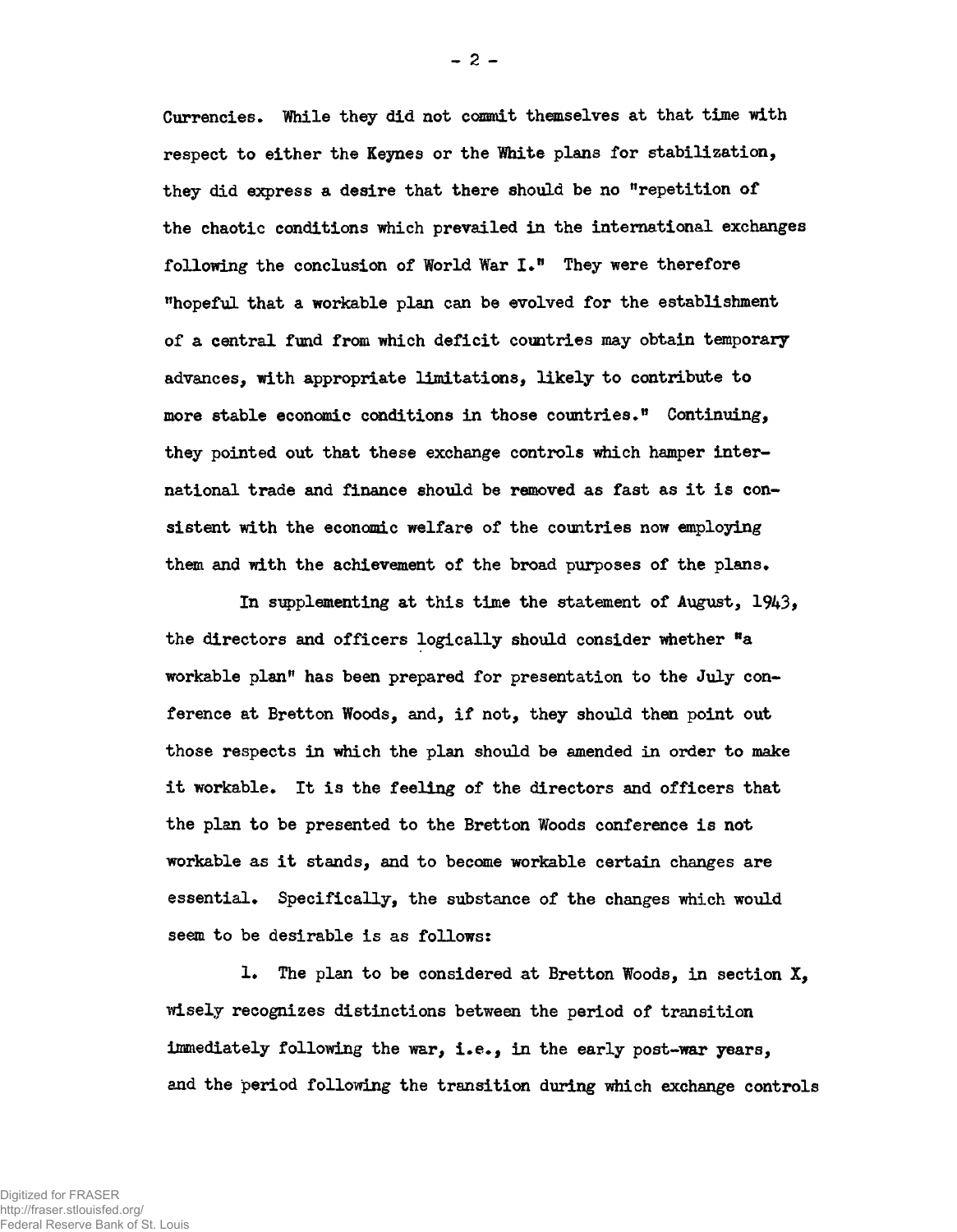Currencies. While they did not commit themselves at that time with respect to either the Keynes or the White plans for stabilization, they did express a desire that there should be no "repetition of the chaotic conditions which prevailed in the international exchanges following the conclusion of World War  $I.^{\prime\prime}$  They were therefore "hopeful that a workable plan can be evolved for the establishment of a central fund from which deficit countries may obtain temporary advances, with appropriate limitations, likely to contribute to more stable economic conditions in those countries." Continuing, they pointed out that these exchange controls which hamper international trade and finance should be removed as fast as it is consistent with the economic welfare of the countries now employing them and with the achievement of the broad purposes of the plans•

In supplementing at this time the statement of August,  $1943$ , the directors and officers logically should consider whether "a workable planri has been prepared for presentation to the July conference at Bretton Woods, and, if not, they should then point out those respects in which the plan should be amended in order to make it workable. It is the feeling of the directors and officers that the plan to be presented to the Bretton Woods conference is not workable as it stands, and to become workable certain changes are essential. Specifically, the substance of the changes which would seem to be desirable is as follows:

1. The plan to be considered at Bretton Woods, in section X, wisely recognizes distinctions between the period of transition immediately following the war, i.e., in the early post-war years, and the period following the transition during which exchange controls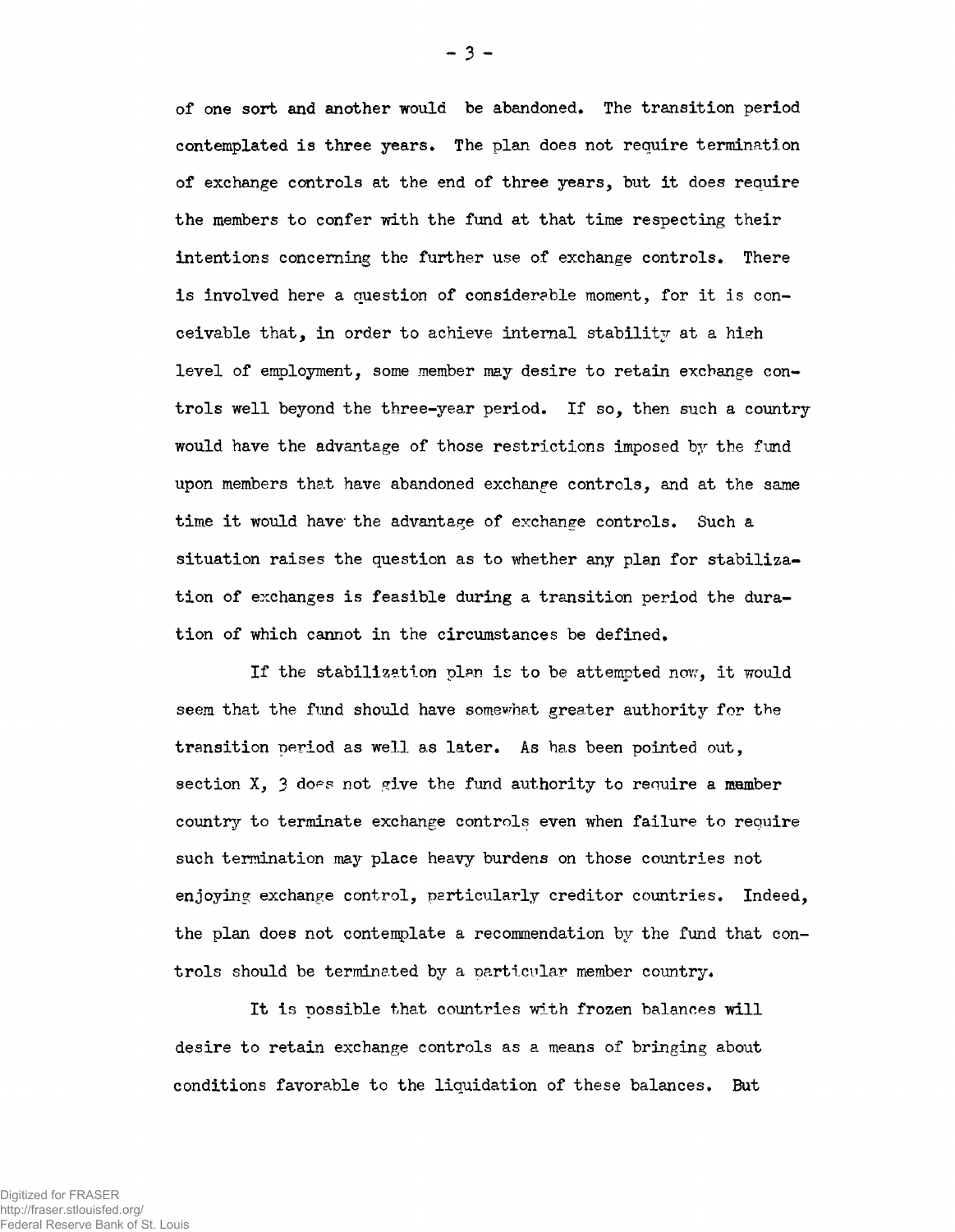of one sort and another would be abandoned. The transition period contemplated is three years. The plan does not require termination of exchange controls at the end of three years, but it does require the members to confer with the fund at that time respecting their intentions concerning the further use of exchange controls. There is involved here a question of considerable moment, for it is conceivable that, in order to achieve internal stability at a high level of employment, some member may desire to retain exchange controls well beyond the three-year period. If so, then such a country would have the advantage of those restrictions imposed by the fund upon members that have abandoned exchange controls, and at the same time it would have the advantage of exchange controls. Such a situation raises the question as to whether any plan for stabilization of exchanges is feasible during a transition period the duration of which cannot in the circumstances be defined.

If the stabilization plan is to be attempted now, it would seem that the fund should have somewhat greater authority for the transition period as well as later. As has been pointed out, section  $X$ ,  $\beta$  does not give the fund authority to require a member country to terminate exchange controls even when failure to require such termination may place heavy burdens on those countries not enjoying exchange control, particularly creditor countries. Indeed, the plan does not contemplate a recommendation by the fund that controls should be terminated by a particular member country.

It is possible that countries with frozen balances will desire to retain exchange controls as a means of bringing about conditions favorable to the liquidation of these balances. But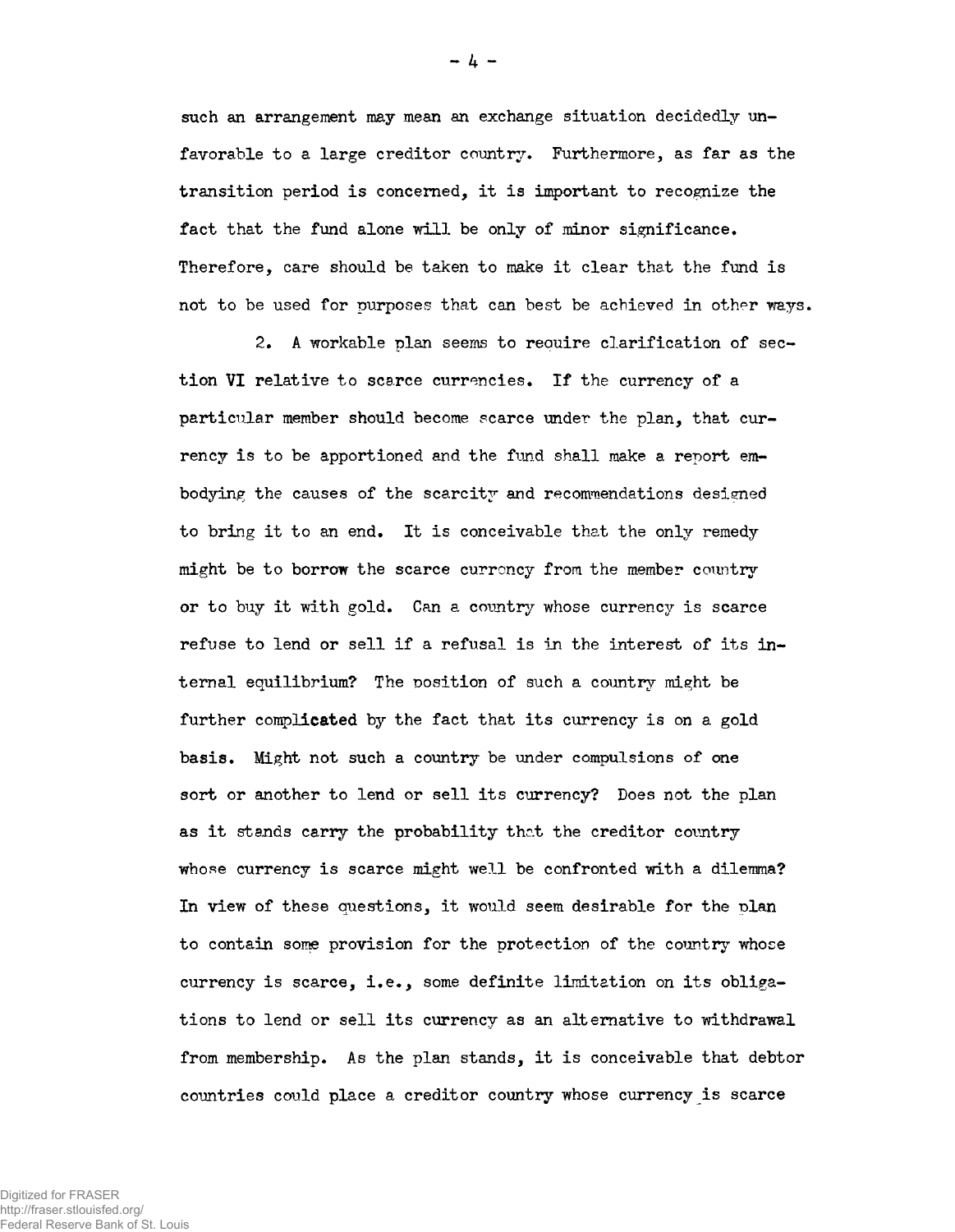such an arrangement may mean an exchange situation decidedly unfavorable to a large creditor country. Furthermore, as far as the transition period is concerned, it is important to recognize the fact that the fund alone will be only of minor significance. Therefore, care should be taken to make it clear that the fund is not to be used for purposes that can best be achieved in other ways.

2. A workable plan seems to require clarification of section VI relative to scarce currencies. If the currency of a particular member should become scarce under the plan, that currency is to be apportioned and the fund shall make a report embodying the causes of the scarcity and recommendations designed to bring it to an end. It is conceivable that the only remedy might be to borrow the scarce currency from the member country or to buy it with gold. Can a country whose currency is scarce refuse to lend or sell if a refusal is in the interest of its internal equilibrium? The position of such a country might be further complicated by the fact that its currency is on a gold basis. Might not such a country be under compulsions of one sort or another to lend or sell its currency? Does not the plan as it stands carry the probability that the creditor country whose currency is scarce might well be confronted with a dilemma? In view of these questions, it would seem desirable for the plan to contain some provision for the protection of the country whose currency is scarce, i.e., some definite limitation on its obligations to lend or sell its currency as an alternative to withdrawal from membership. As the plan stands, it is conceivable that debtor countries could place a creditor country whose currency is scarce

**- 4 -**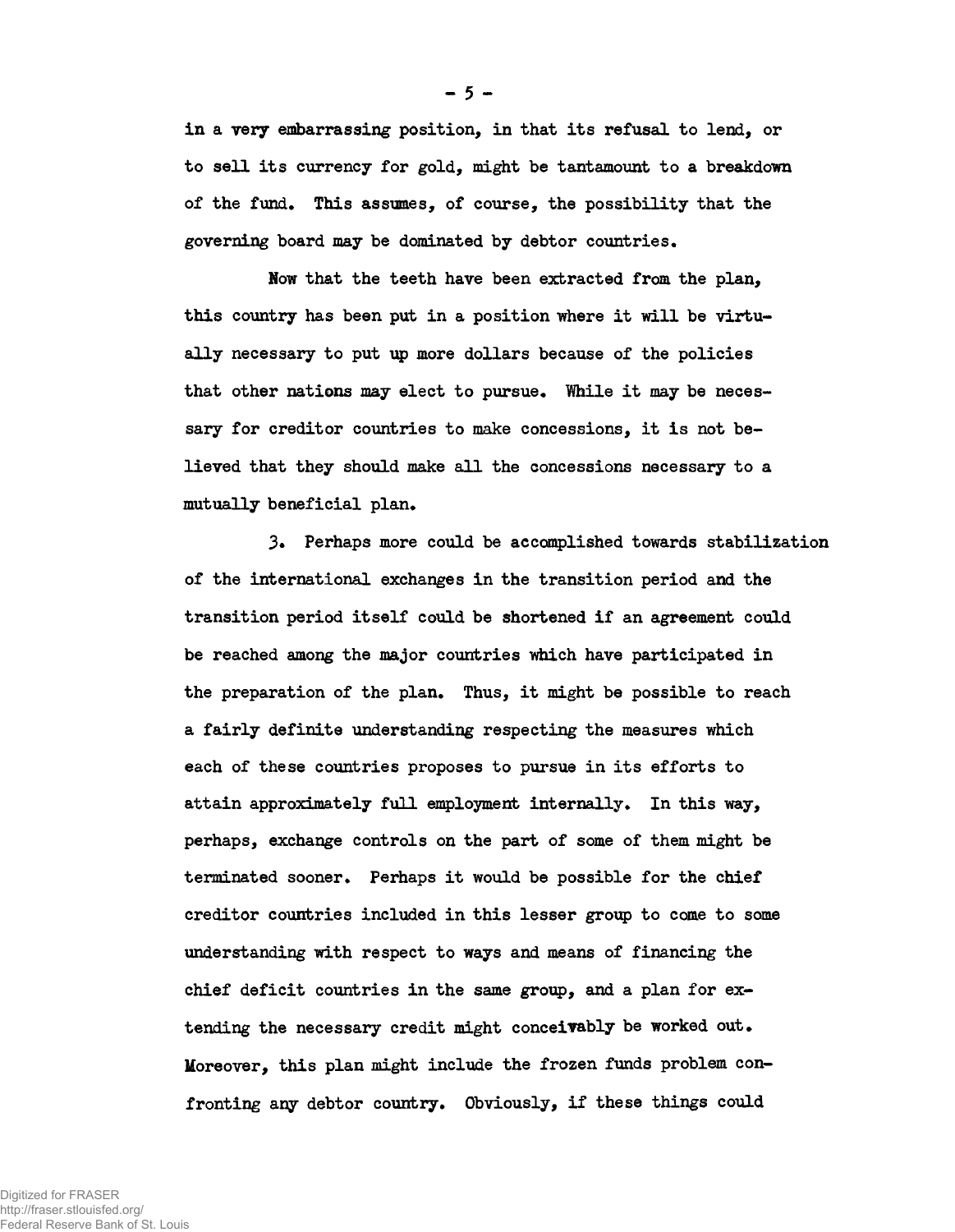in a very embarrassing position, in that its refusal to lend, or to sell its currency for gold, might be tantamount to a breakdown of the fund. This assumes, of course, the possibility that the governing board may be dominated by debtor countries.

Now that the teeth have been extracted from the plan. this country has been put in a position where it will be virtually necessary to put up more dollars because of the policies that other nations may elect to pursue. While it may be necessary for creditor countries to make concessions, it is not believed that they should make all the concessions necessary to a mutually beneficial plan.

3\* Perhaps more could be accomplished towards stabilization of the international exchanges in the transition period and the transition period itself could be shortened if an agreement could be reached among the major countries which have participated in the preparation of the plan. Thus, it might be possible to reach a fairly definite understanding respecting the measures which each of these countries proposes to pursue in its efforts to attain approximately full employment internally. In this way, perhaps, exchange controls on the part of some of them might be terminated sooner. Perhaps it would be possible for the chief creditor countries included in this lesser group to come to some understanding with respect to ways and means of financing the chief deficit countries in the same group, and a plan for extending the necessary credit might conceivably be worked out. Moreover, this plan might include the frozen funds problem confronting any debtor country. Obviously, if these things could

 $-5 -$